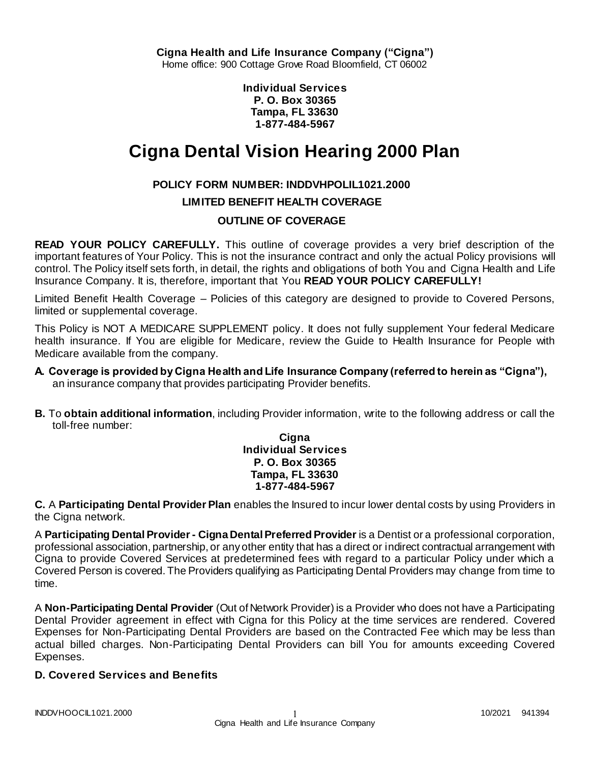**Cigna Health and Life Insurance Company ("Cigna")** Home office: 900 Cottage Grove Road Bloomfield, CT 06002

> **Individual Services P. O. Box 30365 Tampa, FL 33630 1-877-484-5967**

# **Cigna Dental Vision Hearing 2000 Plan**

## **POLICY FORM NUMBER: INDDVHPOLIL1021.2000**

### **LIMITED BENEFIT HEALTH COVERAGE**

### **OUTLINE OF COVERAGE**

**READ YOUR POLICY CAREFULLY.** This outline of coverage provides a very brief description of the important features of Your Policy. This is not the insurance contract and only the actual Policy provisions will control. The Policy itself sets forth, in detail, the rights and obligations of both You and Cigna Health and Life Insurance Company. It is, therefore, important that You **READ YOUR POLICY CAREFULLY!**

Limited Benefit Health Coverage – Policies of this category are designed to provide to Covered Persons, limited or supplemental coverage.

This Policy is NOT A MEDICARE SUPPLEMENT policy. It does not fully supplement Your federal Medicare health insurance. If You are eligible for Medicare, review the Guide to Health Insurance for People with Medicare available from the company.

- **A. Coverage is provided by Cigna Health and Life Insurance Company (referred to herein as "Cigna"),**  an insurance company that provides participating Provider benefits.
- **B.** To **obtain additional information**, including Provider information, write to the following address or call the toll-free number:

**Cigna Individual Services P. O. Box 30365 Tampa, FL 33630 1-877-484-5967**

**C.** A **Participating Dental Provider Plan** enables the Insured to incur lower dental costs by using Providers in the Cigna network.

A **Participating Dental Provider - Cigna Dental Preferred Provider** is a Dentist or a professional corporation, professional association, partnership, or any other entity that has a direct or indirect contractual arrangement with Cigna to provide Covered Services at predetermined fees with regard to a particular Policy under which a Covered Person is covered. The Providers qualifying as Participating Dental Providers may change from time to time.

A **Non-Participating Dental Provider** (Out of Network Provider) is a Provider who does not have a Participating Dental Provider agreement in effect with Cigna for this Policy at the time services are rendered. Covered Expenses for Non-Participating Dental Providers are based on the Contracted Fee which may be less than actual billed charges. Non-Participating Dental Providers can bill You for amounts exceeding Covered Expenses.

### **D. Covered Services and Benefits**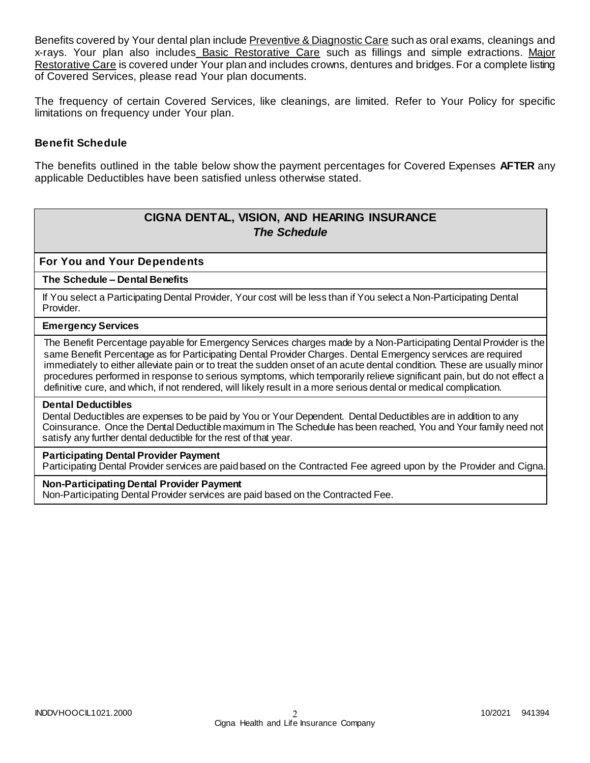Benefits covered by Your dental plan include Preventive & Diagnostic Care such as oral exams, cleanings and x-rays. Your plan also includes Basic Restorative Care such as fillings and simple extractions. Major Restorative Care is covered under Your plan and includes crowns, dentures and bridges. For a complete listing of Covered Services, please read Your plan documents.

The frequency of certain Covered Services, like cleanings, are limited. Refer to Your Policy for specific limitations on frequency under Your plan.

### **Benefit Schedule**

The benefits outlined in the table below show the payment percentages for Covered Expenses **AFTER** any applicable Deductibles have been satisfied unless otherwise stated.

# **CIGNA DENTAL, VISION, AND HEARING INSURANCE** *The Schedule*

### **For You and Your Dependents**

#### **The Schedule – Dental Benefits**

If You select a Participating Dental Provider, Your cost will be less than if You select a Non-Participating Dental Provider.

#### **Emergency Services**

The Benefit Percentage payable for Emergency Services charges made by a Non-Participating Dental Provider is the same Benefit Percentage as for Participating Dental Provider Charges. Dental Emergency services are required immediately to either alleviate pain or to treat the sudden onset of an acute dental condition. These are usually minor procedures performed in response to serious symptoms, which temporarily relieve significant pain, but do not effect a definitive cure, and which, if not rendered, will likely result in a more serious dental or medical complication.

#### **Dental Deductibles**

Dental Deductibles are expenses to be paid by You or Your Dependent. Dental Deductibles are in addition to any Coinsurance. Once the Dental Deductible maximum in The Schedule has been reached, You and Your family need not satisfy any further dental deductible for the rest of that year.

### **Participating Dental Provider Payment**

Participating Dental Provider services are paid based on the Contracted Fee agreed upon by the Provider and Cigna.

#### **Non-Participating Dental Provider Payment**

Non-Participating Dental Provider services are paid based on the Contracted Fee.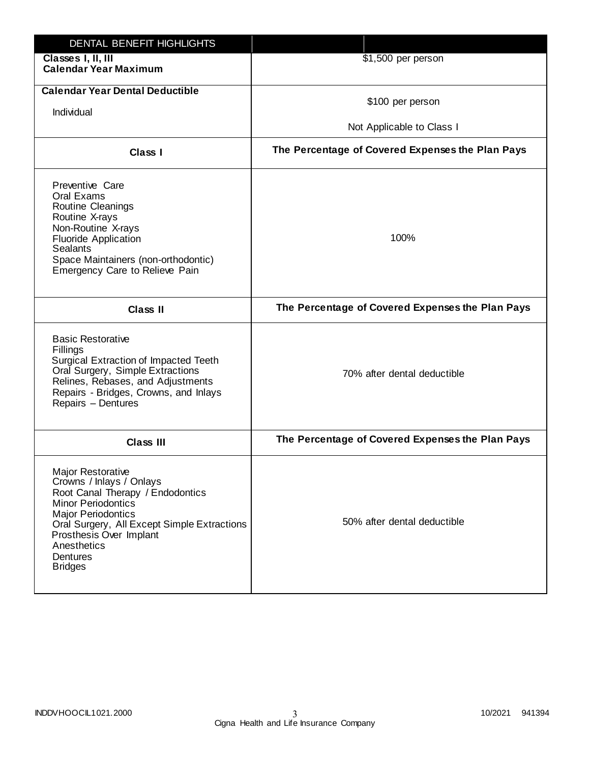| DENTAL BENEFIT HIGHLIGHTS                                                                                                                                                                                                                                                 |                                                  |
|---------------------------------------------------------------------------------------------------------------------------------------------------------------------------------------------------------------------------------------------------------------------------|--------------------------------------------------|
| Classes I, II, III<br><b>Calendar Year Maximum</b>                                                                                                                                                                                                                        | \$1,500 per person                               |
| <b>Calendar Year Dental Deductible</b><br>Individual                                                                                                                                                                                                                      | \$100 per person                                 |
|                                                                                                                                                                                                                                                                           | Not Applicable to Class I                        |
| Class I                                                                                                                                                                                                                                                                   | The Percentage of Covered Expenses the Plan Pays |
| Preventive Care<br>Oral Exams<br>Routine Cleanings<br>Routine X-rays<br>Non-Routine X-rays<br><b>Fluoride Application</b><br>Sealants<br>Space Maintainers (non-orthodontic)<br>Emergency Care to Relieve Pain                                                            | 100%                                             |
| <b>Class II</b>                                                                                                                                                                                                                                                           | The Percentage of Covered Expenses the Plan Pays |
| <b>Basic Restorative</b><br>Fillings<br><b>Surgical Extraction of Impacted Teeth</b><br>Oral Surgery, Simple Extractions<br>Relines, Rebases, and Adjustments<br>Repairs - Bridges, Crowns, and Inlays<br>Repairs - Dentures                                              | 70% after dental deductible                      |
| Class III                                                                                                                                                                                                                                                                 | The Percentage of Covered Expenses the Plan Pays |
| <b>Major Restorative</b><br>Crowns / Inlays / Onlays<br>Root Canal Therapy / Endodontics<br><b>Minor Periodontics</b><br><b>Major Periodontics</b><br>Oral Surgery, All Except Simple Extractions<br>Prosthesis Over Implant<br>Anesthetics<br>Dentures<br><b>Bridges</b> | 50% after dental deductible                      |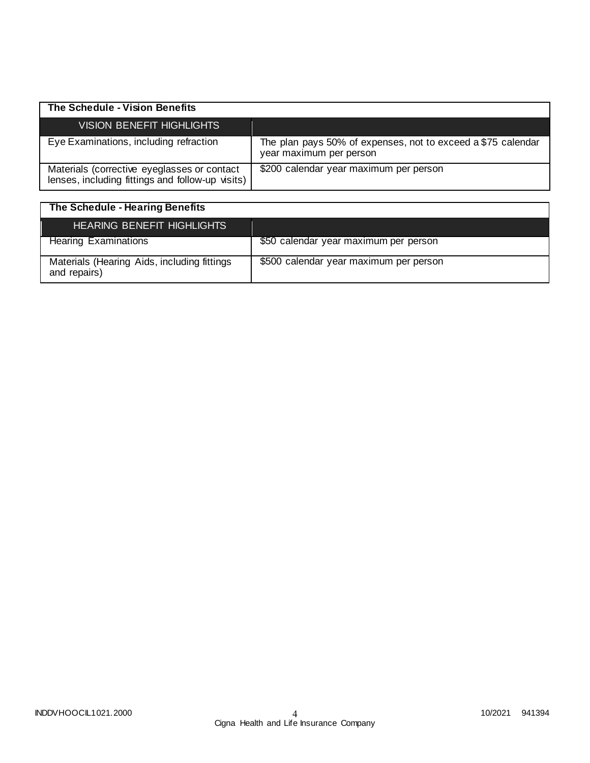| The Schedule - Vision Benefits                                                                  |                                                                                         |
|-------------------------------------------------------------------------------------------------|-----------------------------------------------------------------------------------------|
| VISION BENEFIT HIGHLIGHTS                                                                       |                                                                                         |
| Eye Examinations, including refraction                                                          | The plan pays 50% of expenses, not to exceed a \$75 calendar<br>year maximum per person |
| Materials (corrective eyeglasses or contact<br>lenses, including fittings and follow-up visits) | \$200 calendar year maximum per person                                                  |

| The Schedule - Hearing Benefits                             |                                        |
|-------------------------------------------------------------|----------------------------------------|
| <b>HEARING BENEFIT HIGHLIGHTS</b>                           |                                        |
| <b>Hearing Examinations</b>                                 | \$50 calendar year maximum per person  |
| Materials (Hearing Aids, including fittings<br>and repairs) | \$500 calendar year maximum per person |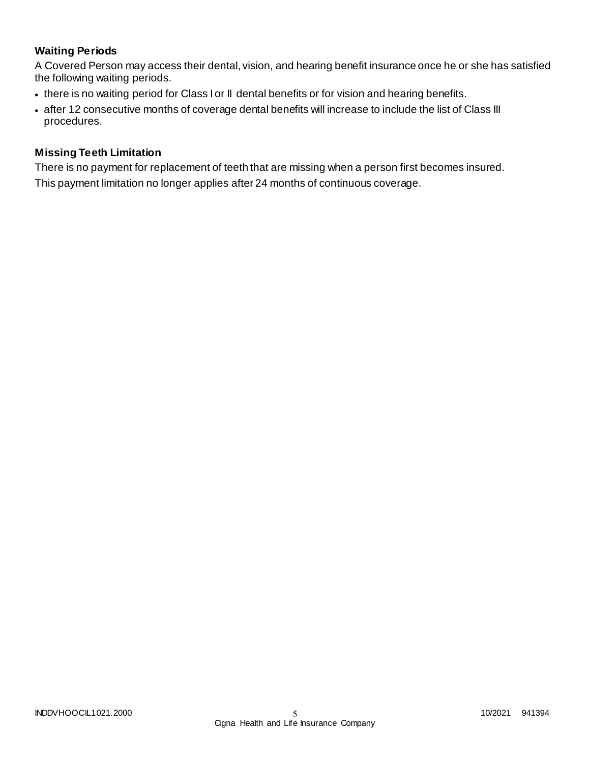# **Waiting Periods**

A Covered Person may access their dental, vision, and hearing benefit insurance once he or she has satisfied the following waiting periods.

- there is no waiting period for Class I or II dental benefits or for vision and hearing benefits.
- after 12 consecutive months of coverage dental benefits will increase to include the list of Class III procedures.

### **Missing Teeth Limitation**

There is no payment for replacement of teeth that are missing when a person first becomes insured. This payment limitation no longer applies after 24 months of continuous coverage.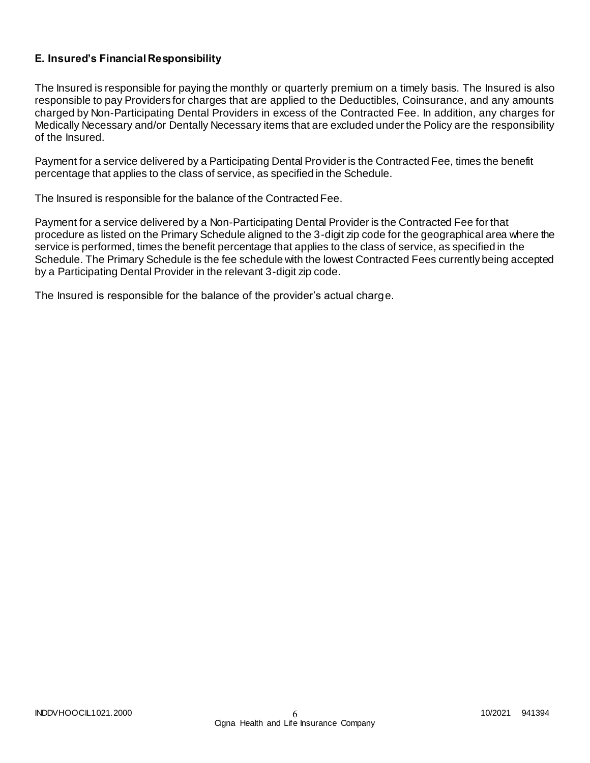# **E. Insured's Financial Responsibility**

The Insured is responsible for paying the monthly or quarterly premium on a timely basis. The Insured is also responsible to pay Providers for charges that are applied to the Deductibles, Coinsurance, and any amounts charged by Non-Participating Dental Providers in excess of the Contracted Fee. In addition, any charges for Medically Necessary and/or Dentally Necessary items that are excluded under the Policy are the responsibility of the Insured.

Payment for a service delivered by a Participating Dental Provider is the Contracted Fee, times the benefit percentage that applies to the class of service, as specified in the Schedule.

The Insured is responsible for the balance of the Contracted Fee.

Payment for a service delivered by a Non-Participating Dental Provider is the Contracted Fee for that procedure as listed on the Primary Schedule aligned to the 3-digit zip code for the geographical area where the service is performed, times the benefit percentage that applies to the class of service, as specified in the Schedule. The Primary Schedule is the fee schedule with the lowest Contracted Fees currently being accepted by a Participating Dental Provider in the relevant 3-digit zip code.

The Insured is responsible for the balance of the provider's actual charge.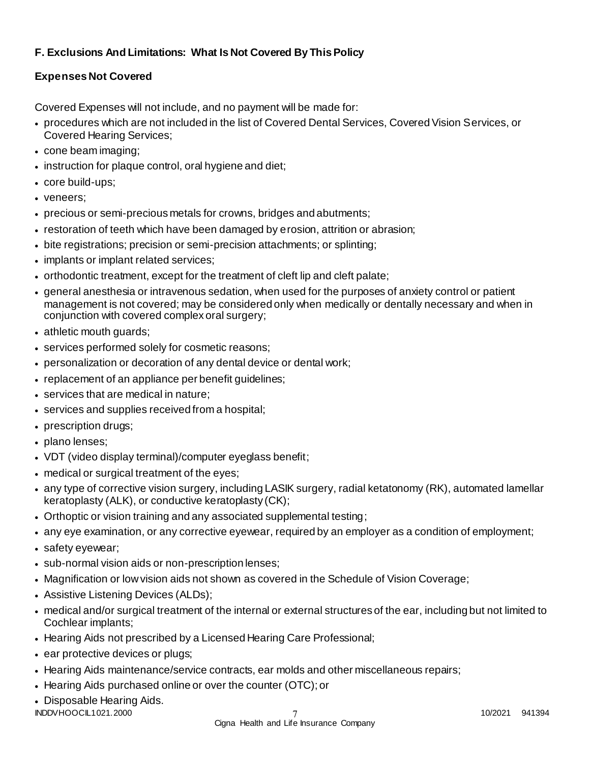# **F. Exclusions And Limitations: What Is Not Covered By This Policy**

# **Expenses Not Covered**

Covered Expenses will not include, and no payment will be made for:

- procedures which are not included in the list of Covered Dental Services, Covered Vision Services, or Covered Hearing Services;
- cone beam imaging;
- instruction for plaque control, oral hygiene and diet;
- core build-ups;
- veneers;
- precious or semi-precious metals for crowns, bridges and abutments;
- restoration of teeth which have been damaged by erosion, attrition or abrasion;
- bite registrations; precision or semi-precision attachments; or splinting;
- implants or implant related services;
- orthodontic treatment, except for the treatment of cleft lip and cleft palate;
- general anesthesia or intravenous sedation, when used for the purposes of anxiety control or patient management is not covered; may be considered only when medically or dentally necessary and when in conjunction with covered complex oral surgery;
- athletic mouth guards;
- services performed solely for cosmetic reasons;
- personalization or decoration of any dental device or dental work;
- replacement of an appliance per benefit guidelines;
- services that are medical in nature:
- services and supplies received from a hospital;
- prescription drugs;
- plano lenses:
- VDT (video display terminal)/computer eyeglass benefit;
- medical or surgical treatment of the eyes;
- any type of corrective vision surgery, including LASIK surgery, radial ketatonomy (RK), automated lamellar keratoplasty (ALK), or conductive keratoplasty (CK);
- Orthoptic or vision training and any associated supplemental testing;
- any eye examination, or any corrective eyewear, required by an employer as a condition of employment;
- safety eyewear;
- sub-normal vision aids or non-prescription lenses;
- Magnification or low vision aids not shown as covered in the Schedule of Vision Coverage;
- Assistive Listening Devices (ALDs);
- medical and/or surgical treatment of the internal or external structures of the ear, including but not limited to Cochlear implants;
- Hearing Aids not prescribed by a Licensed Hearing Care Professional;
- ear protective devices or plugs;
- Hearing Aids maintenance/service contracts, ear molds and other miscellaneous repairs;
- Hearing Aids purchased online or over the counter (OTC); or
- Disposable Hearing Aids.

INDDVHOOCIL1021.2000 10/2021 941394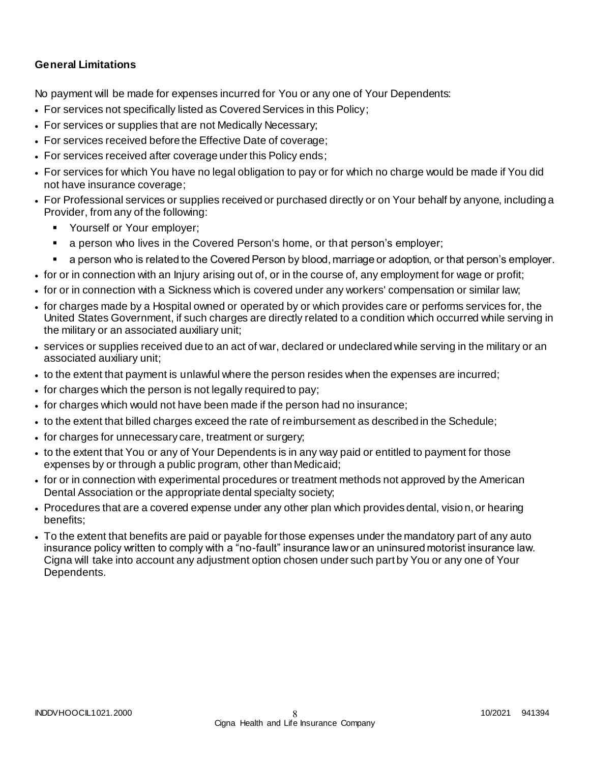# **General Limitations**

No payment will be made for expenses incurred for You or any one of Your Dependents:

- For services not specifically listed as Covered Services in this Policy;
- For services or supplies that are not Medically Necessary;
- For services received before the Effective Date of coverage;
- For services received after coverage under this Policy ends;
- For services for which You have no legal obligation to pay or for which no charge would be made if You did not have insurance coverage;
- For Professional services or supplies received or purchased directly or on Your behalf by anyone, including a Provider, from any of the following:
	- **Yourself or Your employer;**
	- a person who lives in the Covered Person's home, or that person's employer;
	- a person who is related to the Covered Person by blood, marriage or adoption, or that person's employer.
- for or in connection with an Injury arising out of, or in the course of, any employment for wage or profit;
- for or in connection with a Sickness which is covered under any workers' compensation or similar law;
- for charges made by a Hospital owned or operated by or which provides care or performs services for, the United States Government, if such charges are directly related to a condition which occurred while serving in the military or an associated auxiliary unit;
- services or supplies received due to an act of war, declared or undeclared while serving in the military or an associated auxiliary unit;
- to the extent that payment is unlawful where the person resides when the expenses are incurred;
- for charges which the person is not legally required to pay;
- for charges which would not have been made if the person had no insurance;
- to the extent that billed charges exceed the rate of reimbursement as described in the Schedule;
- for charges for unnecessary care, treatment or surgery;
- to the extent that You or any of Your Dependents is in any way paid or entitled to payment for those expenses by or through a public program, other than Medicaid;
- for or in connection with experimental procedures or treatment methods not approved by the American Dental Association or the appropriate dental specialty society;
- Procedures that are a covered expense under any other plan which provides dental, vision, or hearing benefits;
- To the extent that benefits are paid or payable for those expenses under the mandatory part of any auto insurance policy written to comply with a "no-fault" insurance law or an uninsured motorist insurance law. Cigna will take into account any adjustment option chosen under such part by You or any one of Your Dependents.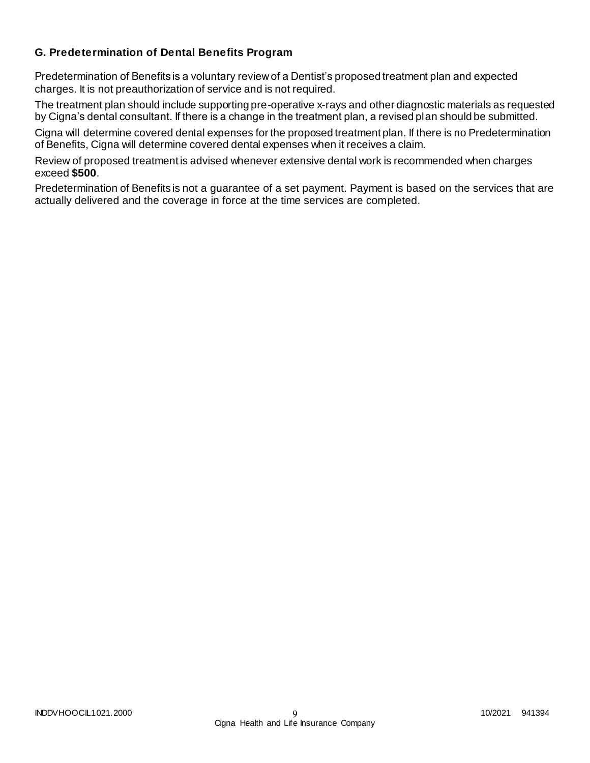# **G. Predetermination of Dental Benefits Program**

Predetermination of Benefits is a voluntary review of a Dentist's proposed treatment plan and expected charges. It is not preauthorization of service and is not required.

The treatment plan should include supporting pre-operative x-rays and other diagnostic materials as requested by Cigna's dental consultant. If there is a change in the treatment plan, a revised plan should be submitted.

Cigna will determine covered dental expenses for the proposed treatment plan. If there is no Predetermination of Benefits, Cigna will determine covered dental expenses when it receives a claim.

Review of proposed treatment is advised whenever extensive dental work is recommended when charges exceed **\$500**.

Predetermination of Benefits is not a guarantee of a set payment. Payment is based on the services that are actually delivered and the coverage in force at the time services are completed.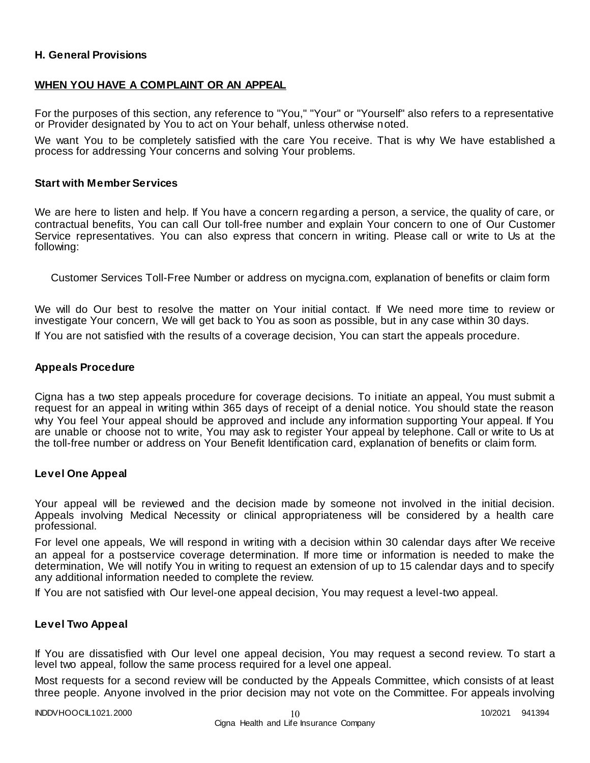### **H. General Provisions**

### **WHEN YOU HAVE A COMPLAINT OR AN APPEAL**

For the purposes of this section, any reference to "You," "Your" or "Yourself" also refers to a representative or Provider designated by You to act on Your behalf, unless otherwise noted.

We want You to be completely satisfied with the care You receive. That is why We have established a process for addressing Your concerns and solving Your problems.

#### **Start with Member Services**

We are here to listen and help. If You have a concern regarding a person, a service, the quality of care, or contractual benefits, You can call Our toll-free number and explain Your concern to one of Our Customer Service representatives. You can also express that concern in writing. Please call or write to Us at the following:

Customer Services Toll-Free Number or address on mycigna.com, explanation of benefits or claim form

We will do Our best to resolve the matter on Your initial contact. If We need more time to review or investigate Your concern, We will get back to You as soon as possible, but in any case within 30 days.

If You are not satisfied with the results of a coverage decision, You can start the appeals procedure.

### **Appeals Procedure**

Cigna has a two step appeals procedure for coverage decisions. To initiate an appeal, You must submit a request for an appeal in writing within 365 days of receipt of a denial notice. You should state the reason why You feel Your appeal should be approved and include any information supporting Your appeal. If You are unable or choose not to write, You may ask to register Your appeal by telephone. Call or write to Us at the toll-free number or address on Your Benefit Identification card, explanation of benefits or claim form.

### **Level One Appeal**

Your appeal will be reviewed and the decision made by someone not involved in the initial decision. Appeals involving Medical Necessity or clinical appropriateness will be considered by a health care professional.

For level one appeals, We will respond in writing with a decision within 30 calendar days after We receive an appeal for a postservice coverage determination. If more time or information is needed to make the determination, We will notify You in writing to request an extension of up to 15 calendar days and to specify any additional information needed to complete the review.

If You are not satisfied with Our level-one appeal decision, You may request a level-two appeal.

### **Level Two Appeal**

If You are dissatisfied with Our level one appeal decision, You may request a second review. To start a level two appeal, follow the same process required for a level one appeal.

Most requests for a second review will be conducted by the Appeals Committee, which consists of at least three people. Anyone involved in the prior decision may not vote on the Committee. For appeals involving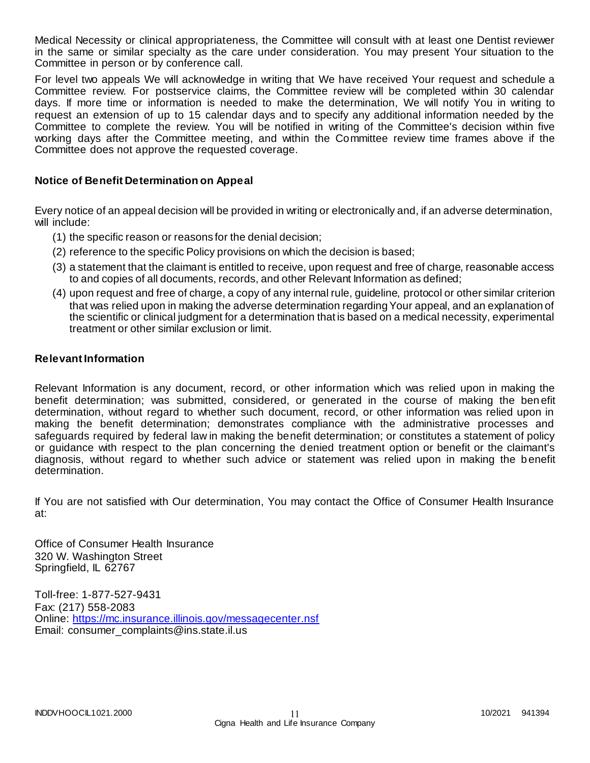Medical Necessity or clinical appropriateness, the Committee will consult with at least one Dentist reviewer in the same or similar specialty as the care under consideration. You may present Your situation to the Committee in person or by conference call.

For level two appeals We will acknowledge in writing that We have received Your request and schedule a Committee review. For postservice claims, the Committee review will be completed within 30 calendar days. If more time or information is needed to make the determination, We will notify You in writing to request an extension of up to 15 calendar days and to specify any additional information needed by the Committee to complete the review. You will be notified in writing of the Committee's decision within five working days after the Committee meeting, and within the Committee review time frames above if the Committee does not approve the requested coverage.

### **Notice of Benefit Determination on Appeal**

Every notice of an appeal decision will be provided in writing or electronically and, if an adverse determination, will include:

- (1) the specific reason or reasons for the denial decision;
- (2) reference to the specific Policy provisions on which the decision is based;
- (3) a statement that the claimant is entitled to receive, upon request and free of charge, reasonable access to and copies of all documents, records, and other Relevant Information as defined;
- (4) upon request and free of charge, a copy of any internal rule, guideline, protocol or other similar criterion that was relied upon in making the adverse determination regarding Your appeal, and an explanation of the scientific or clinical judgment for a determination that is based on a medical necessity, experimental treatment or other similar exclusion or limit.

#### **Relevant Information**

Relevant Information is any document, record, or other information which was relied upon in making the benefit determination; was submitted, considered, or generated in the course of making the ben efit determination, without regard to whether such document, record, or other information was relied upon in making the benefit determination; demonstrates compliance with the administrative processes and safeguards required by federal law in making the benefit determination; or constitutes a statement of policy or guidance with respect to the plan concerning the denied treatment option or benefit or the claimant's diagnosis, without regard to whether such advice or statement was relied upon in making the b enefit determination.

If You are not satisfied with Our determination, You may contact the Office of Consumer Health Insurance at:

Office of Consumer Health Insurance 320 W. Washington Street Springfield, IL 62767

Toll-free: 1-877-527-9431 Fax: (217) 558-2083 Online:<https://mc.insurance.illinois.gov/messagecenter.nsf> Email: consumer\_complaints@ins.state.il.us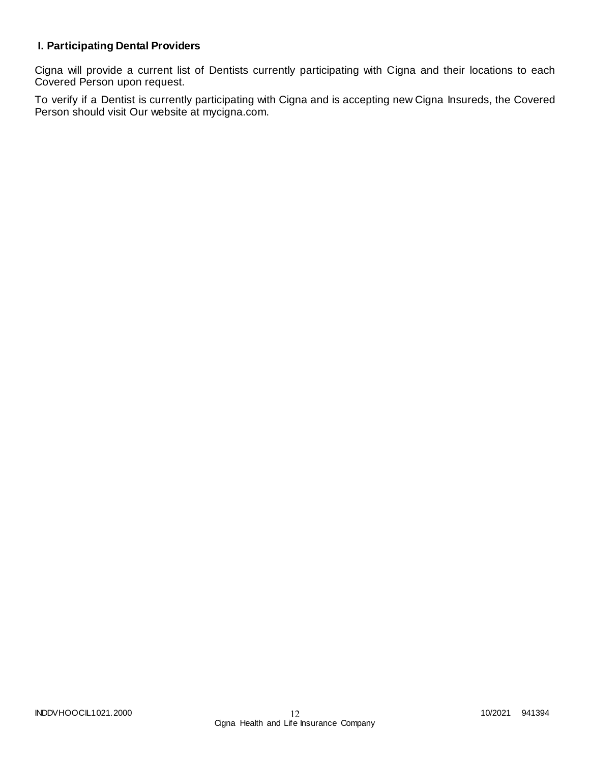# **I. Participating Dental Providers**

Cigna will provide a current list of Dentists currently participating with Cigna and their locations to each Covered Person upon request.

To verify if a Dentist is currently participating with Cigna and is accepting new Cigna Insureds, the Covered Person should visit Our website at mycigna.com.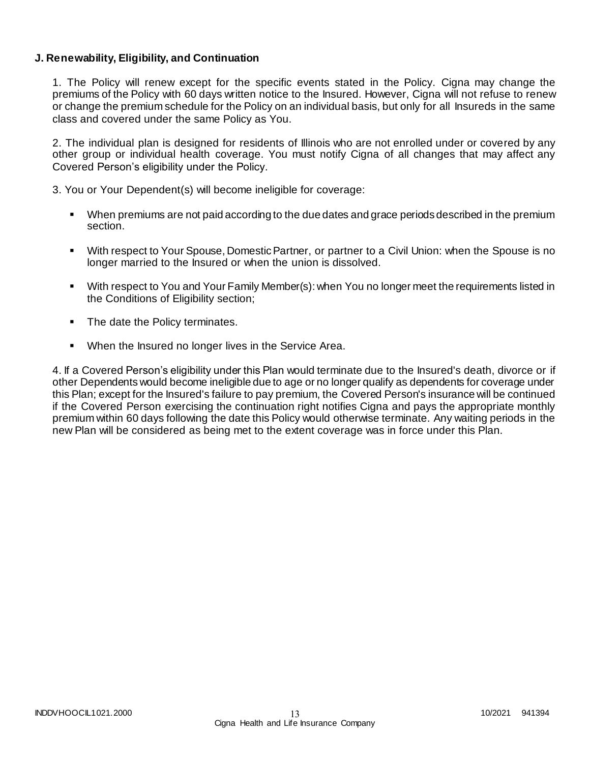### **J. Renewability, Eligibility, and Continuation**

1. The Policy will renew except for the specific events stated in the Policy. Cigna may change the premiums of the Policy with 60 days written notice to the Insured. However, Cigna will not refuse to renew or change the premium schedule for the Policy on an individual basis, but only for all Insureds in the same class and covered under the same Policy as You.

2. The individual plan is designed for residents of Illinois who are not enrolled under or covered by any other group or individual health coverage. You must notify Cigna of all changes that may affect any Covered Person's eligibility under the Policy.

3. You or Your Dependent(s) will become ineligible for coverage:

- When premiums are not paid according to the due dates and grace periods described in the premium section.
- With respect to Your Spouse, Domestic Partner, or partner to a Civil Union: when the Spouse is no longer married to the Insured or when the union is dissolved.
- With respect to You and Your Family Member(s): when You no longer meet the requirements listed in the Conditions of Eligibility section;
- The date the Policy terminates.
- When the Insured no longer lives in the Service Area.

4. If a Covered Person's eligibility under this Plan would terminate due to the Insured's death, divorce or if other Dependents would become ineligible due to age or no longer qualify as dependents for coverage under this Plan; except for the Insured's failure to pay premium, the Covered Person's insurance will be continued if the Covered Person exercising the continuation right notifies Cigna and pays the appropriate monthly premium within 60 days following the date this Policy would otherwise terminate. Any waiting periods in the new Plan will be considered as being met to the extent coverage was in force under this Plan.